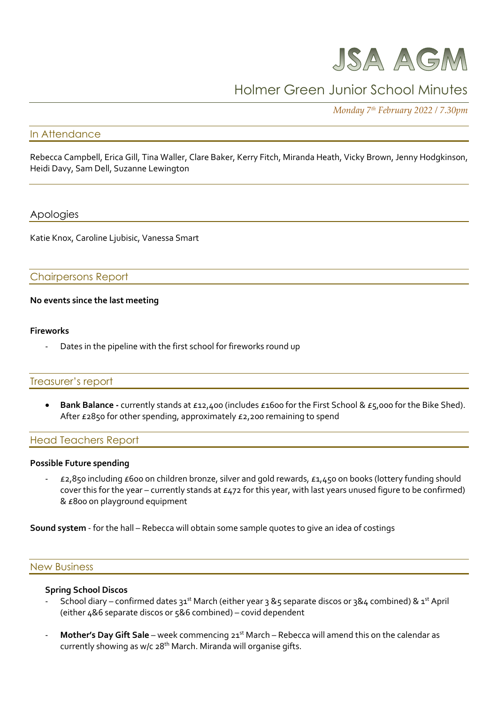

# Holmer Green Junior School Minutes

*Monday 7 th February 2022 / 7.30pm*

## In Attendance

Rebecca Campbell, Erica Gill, Tina Waller, Clare Baker, Kerry Fitch, Miranda Heath, Vicky Brown, Jenny Hodgkinson, Heidi Davy, Sam Dell, Suzanne Lewington

## Apologies

Katie Knox, Caroline Ljubisic, Vanessa Smart

## Chairpersons Report

#### **No events since the last meeting**

#### **Fireworks**

Dates in the pipeline with the first school for fireworks round up

## Treasurer's report

 **Bank Balance -** currently stands at £12,400 (includes £1600 for the First School & £5,000 for the Bike Shed). After £2850 for other spending, approximately £2,200 remaining to spend

#### Head Teachers Report

#### **Possible Future spending**

- £2,850 including £600 on children bronze, silver and gold rewards, £1,450 on books (lottery funding should cover this for the year – currently stands at £472 for this year, with last years unused figure to be confirmed) & £800 on playground equipment

**Sound system** - for the hall – Rebecca will obtain some sample quotes to give an idea of costings

#### New Business

#### **Spring School Discos**

- School diary confirmed dates 31<sup>st</sup> March (either year 3 &5 separate discos or 3&4 combined) & 1<sup>st</sup> April (either 4&6 separate discos or 5&6 combined) – covid dependent
- **Mother's Day Gift Sale** week commencing 21<sup>st</sup> March Rebecca will amend this on the calendar as currently showing as w/c  $28<sup>th</sup>$  March. Miranda will organise gifts.